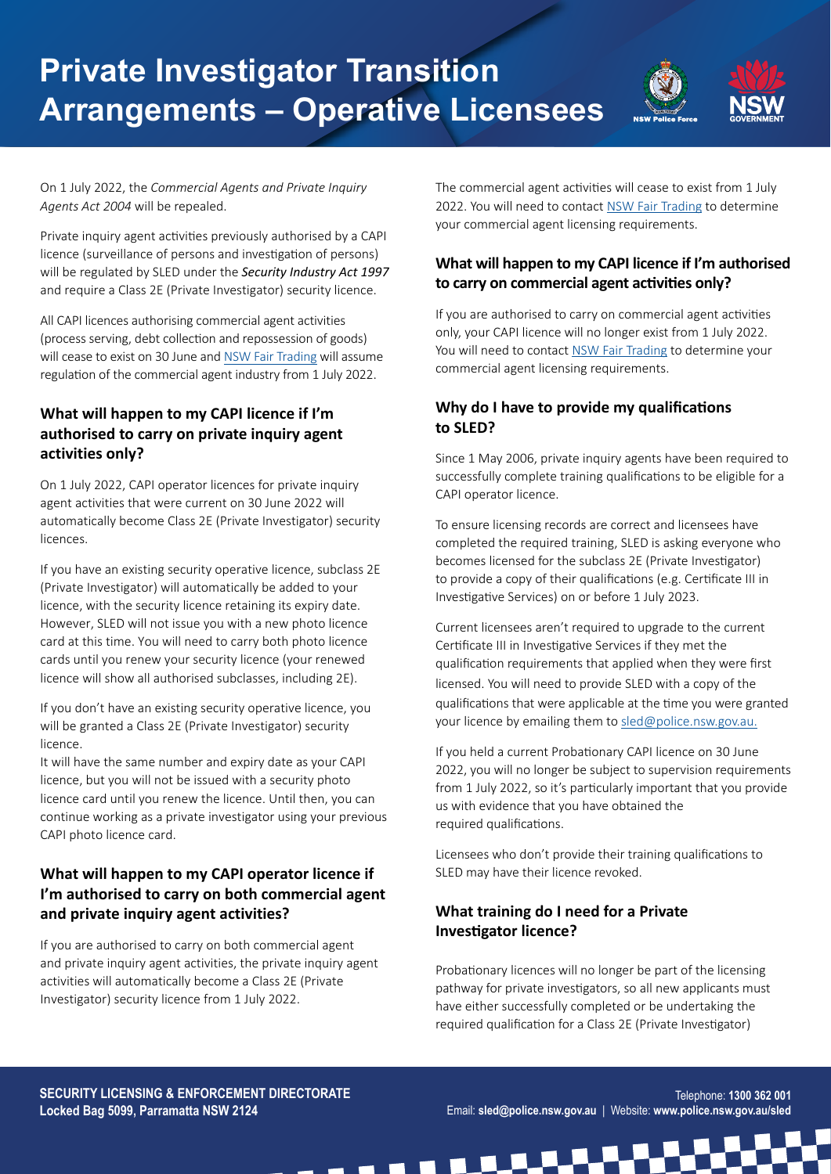

On 1 July 2022, the *Commercial Agents and Private Inquiry Agents Act 2004* will be repealed.

Private inquiry agent activities previously authorised by a CAPI licence (surveillance of persons and investigation of persons) will be regulated by SLED under the *Security Industry Act 1997* and require a Class 2E (Private Investigator) security licence.

All CAPI licences authorising commercial agent activities (process serving, debt collection and repossession of goods) will cease to exist on 30 June and NSW Fair Trading will assume regulation of the commercial agent industry from 1 July 2022.

## **What will happen to my CAPI licence if I'm authorised to carry on private inquiry agent activities only?**

On 1 July 2022, CAPI operator licences for private inquiry agent activities that were current on 30 June 2022 will automatically become Class 2E (Private Investigator) security licences.

If you have an existing security operative licence, subclass 2E (Private Investigator) will automatically be added to your licence, with the security licence retaining its expiry date. However, SLED will not issue you with a new photo licence card at this time. You will need to carry both photo licence cards until you renew your security licence (your renewed licence will show all authorised subclasses, including 2E).

If you don't have an existing security operative licence, you will be granted a Class 2E (Private Investigator) security licence.

It will have the same number and expiry date as your CAPI licence, but you will not be issued with a security photo licence card until you renew the licence. Until then, you can continue working as a private investigator using your previous CAPI photo licence card.

# **What will happen to my CAPI operator licence if I'm authorised to carry on both commercial agent and private inquiry agent activities?**

If you are authorised to carry on both commercial agent and private inquiry agent activities, the private inquiry agent activities will automatically become a Class 2E (Private Investigator) security licence from 1 July 2022.

The commercial agent activities will cease to exist from 1 July 2022. You will need to contact NSW Fair Trading to determine your commercial agent licensing requirements.

# **What will happen to my CAPI licence if I'm authorised to carry on commercial agent activities only?**

If you are authorised to carry on commercial agent activities only, your CAPI licence will no longer exist from 1 July 2022. You will need to contact NSW Fair Trading to determine your commercial agent licensing requirements.

## **Why do I have to provide my qualifications to SLED?**

Since 1 May 2006, private inquiry agents have been required to successfully complete training qualifications to be eligible for a CAPI operator licence.

To ensure licensing records are correct and licensees have completed the required training, SLED is asking everyone who becomes licensed for the subclass 2E (Private Investigator) to provide a copy of their qualifications (e.g. Certificate III in Investigative Services) on or before 1 July 2023.

Current licensees aren't required to upgrade to the current Certificate III in Investigative Services if they met the qualification requirements that applied when they were first licensed. You will need to provide SLED with a copy of the qualifications that were applicable at the time you were granted your licence by emailing them to sled@police.nsw.gov.au.

If you held a current Probationary CAPI licence on 30 June 2022, you will no longer be subject to supervision requirements from 1 July 2022, so it's particularly important that you provide us with evidence that you have obtained the required qualifications.

Licensees who don't provide their training qualifications to SLED may have their licence revoked.

# **What training do I need for a Private Investigator licence?**

 $\blacksquare$ 

Probationary licences will no longer be part of the licensing pathway for private investigators, so all new applicants must have either successfully completed or be undertaking the required qualification for a Class 2E (Private Investigator)

**SECURITY LICENSING & ENFORCEMENT DIRECTORATE Locked Bag 5099, Parramatta NSW 2124**

E[mail: sled@police.nsw.gov.a](mailto:sled%40police.nsw.gov.au?subject=)u | Websit[e: www.police.nsw.gov.au/sled](http://www.police.nsw.gov.au/sled) Email: **sled@police.nsw.gov.au** | Website: **www.police.nsw.gov.au/sled**Telephone: **1300 362 001**